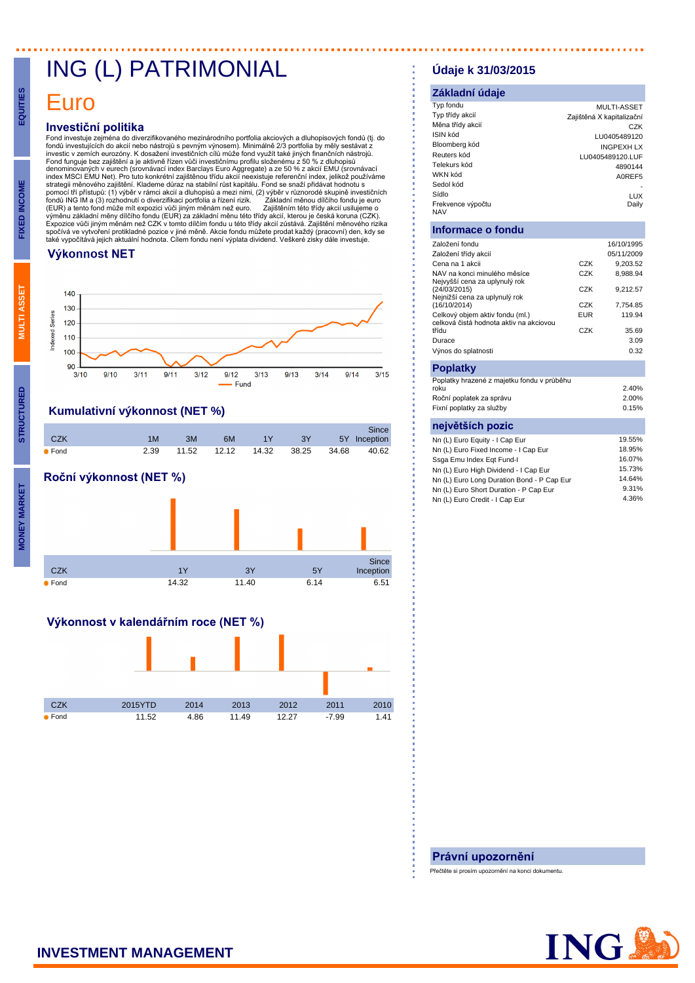## ING (L) PATRIMONIAL

## Euro

**EQUITIES**

**FIXED INCOME**

**MULTI ASSET**

**STRUCTURED**

### **Investiční politika**

Fond investuje zejména do diverzifikovaného mezinárodního portfolia akciových a dluhopisových fondů (tj. do<br>fondů investujících do akcií nebo nástrojů s pevným výnosem). Minimálně 2/3 portfolia by měly sestávat z<br>investic denominovaných v eurech (srovnávací index Barclays Euro Aggregate) a ze 50 % z akcií EMU (srovnávací<br>index MSCI EMU Net). Pro tuto konkrétní zajištěnou třídu akcií neexistuje referenční index, jelikož používáme strategji měnového zajištění. Klademe důraz na stabilní růst kapitálu. Fond se snaží přidávat hodnotu s pomocí tří přístupů: (1) výběr v rámci akcií a dluhopisů a mezi nimi, (2) výběr v různorodé skupině investičních<br>fondů ING IM a (3) rozhodnutí o diverzifikaci portfolia a řízení rizik. Základní měnou dílčího fondu je e (EUR) a tento fond může mít expozici vůči jiným měnám než euro. Zajištěním této třídy akcií usilujeme o<br>výměnu základní měny dílčího fondu (EUR) za základní měnu této třídy akcií, kterou je česká koruna (CZK).<br>Expozice

#### **Výkonnost NET**



## **Kumulativní výkonnost (NET %)**



## **Roční výkonnost (NET %)**



### **Výkonnost v kalendářním roce (NET %)**



### **Údaje k 31/03/2015**

#### **Základní údaje** Typ fondu MULTI-ASSET Zajištěná X kapitalizační 0 CZK CONFLIGHT COME CONFLIGHT COME<br>COME COME COME<br>10005489120 10016489120 ISIN kód LU0405489120 Bloomberg kód INGPEXH LX LU0405489120.LUF Telekurs kód 4890144<br>4890144 4890144<br>AOREES WKN kód<br>Sedol kód A0REF5 Sedol kód - Sídlo **LUX** Frekvence výnočtu NAV Daily

### **Informace o fondu**

| Založení fondu                                                             |            | 16/10/1995 |
|----------------------------------------------------------------------------|------------|------------|
| Založení třídy akcií                                                       |            | 05/11/2009 |
| Cena na 1 akcii                                                            | C.7K       | 9,203.52   |
| NAV na konci minulého měsíce<br>Nejvyšší cena za uplynulý rok              | CZK        | 8.988.94   |
| (24/03/2015)<br>Nejnižší cena za uplynulý rok                              | CZK        | 9.212.57   |
| (16/10/2014)                                                               | CZK        | 7,754.85   |
| Celkový objem aktiv fondu (ml.)<br>celková čistá hodnota aktiv na akciovou | <b>EUR</b> | 119.94     |
| třídu                                                                      | CZK        | 35.69      |
| Durace                                                                     |            | 3.09       |
| Výnos do splatnosti                                                        |            | 0.32       |
| <b>Poplatky</b>                                                            |            |            |
| Poplatky hrazené z majetku fondu v průběhu<br>roku                         |            | 2.40%      |
| Roční poplatek za správu                                                   |            | 2.00%      |
| Fixní poplatky za služby                                                   |            | 0.15%      |
| největších pozic                                                           |            |            |
| Nn (L) Euro Equity - I Cap Eur                                             |            | 19.55%     |
| Nn (L) Euro Fixed Income - I Cap Eur                                       |            | 18.95%     |
| Ssga Emu Index Egt Fund-I                                                  |            | 16.07%     |
| Nn (L) Euro High Dividend - I Cap Eur                                      |            | 15.73%     |
| Nn (L) Euro Long Duration Bond - P Cap Eur                                 |            | 14.64%     |
| Nn (L) Euro Short Duration - P Cap Eur                                     |            | 9.31%      |
| Nn (L) Euro Credit - I Cap Eur                                             |            | 4.36%      |
|                                                                            |            |            |

#### **Právní upozornění**

Přečtěte si prosím upozornění na konci dokumentu.

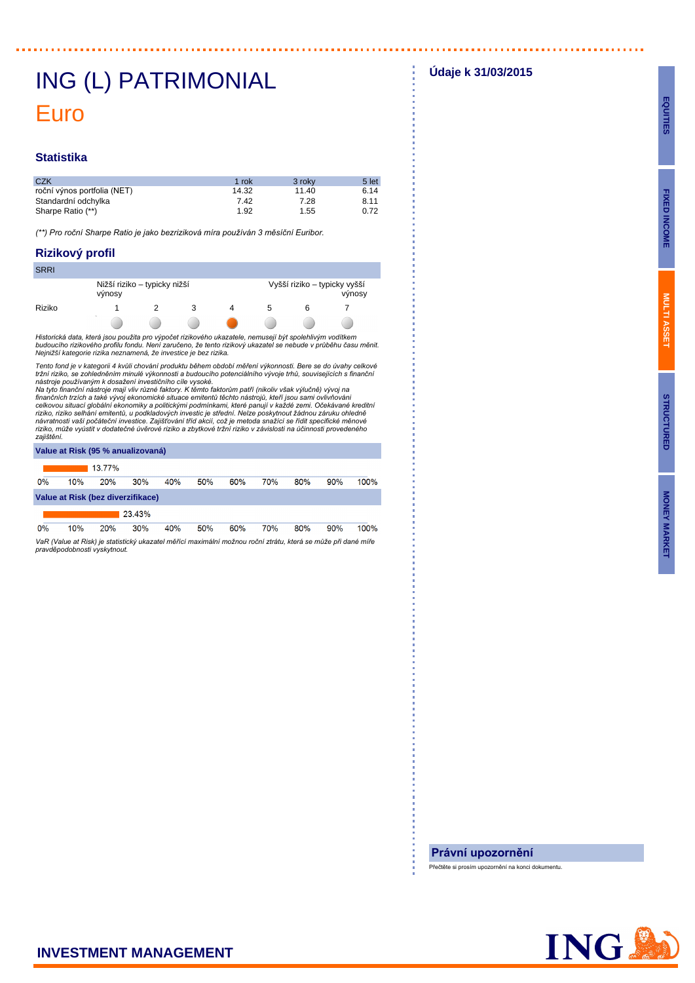## ING (L) PATRIMONIAL Euro

#### **Statistika**

| <b>CZK</b>                  | 1 rok | 3 roky | 5 let |
|-----------------------------|-------|--------|-------|
| roční výnos portfolia (NET) | 14.32 | 11.40  | 6.14  |
| Standardní odchylka         | 7.42  | 7.28   | 8.11  |
| Sharpe Ratio (**)           | 1.92  | 1.55   | 0.72  |

(\*\*) Pro roční Sharpe Ratio je jako bezriziková míra používán 3 měsíční Euribor.

#### **Rizikový profil**

| <b>SRRI</b> |                                        |  |  |  |    |                                        |  |  |  |
|-------------|----------------------------------------|--|--|--|----|----------------------------------------|--|--|--|
|             | Nižší riziko – typicky nižší<br>výnosy |  |  |  |    | Vyšší riziko - typicky vyšší<br>výnosy |  |  |  |
| Riziko      |                                        |  |  |  | 5. |                                        |  |  |  |
|             | $\sim$                                 |  |  |  |    |                                        |  |  |  |

Historická data, která jsou použita pro výpočet rizikového ukazatele, nemusejí být spolehlivým vodítkem<br>budoucího rizikového profilu fondu. Není zaručeno, že tento rizikový ukazatel se nebude v průběhu času měnit. Nejnižší kategorie rizika neznamená, že investice je bez rizika.

Tento fond je v kategorii 4 kvůli chování produktu během období měření výkonnosti. Bere se do úvahy celkové<br>tržní riziko, se zohledněním minulé výkonnosti a budoucího potenciálního vývoje trhů, souvisejících s finanční

nástroje používaným k dosažení investičního cíle vysoké.<br>Na tyto finanční nástroje mají vliv různé faktory. K těmto faktorům patří (nikoliv však výlučně) vývoj na<br>finančních trzích a také vývoj ekonomické situace emitentů zajištění.

| Value at Risk (95 % anualizovaná) |     |        |        |     |     |     |     |     |     |      |
|-----------------------------------|-----|--------|--------|-----|-----|-----|-----|-----|-----|------|
|                                   |     | 13.77% |        |     |     |     |     |     |     |      |
| 0%                                | 10% | 20%    | 30%    | 40% | 50% | 60% | 70% | 80% | 90% | 100% |
| Value at Risk (bez diverzifikace) |     |        |        |     |     |     |     |     |     |      |
|                                   |     |        | 23.43% |     |     |     |     |     |     |      |
| 0%                                | 10% | 20%    | 30%    | 40% | 50% | 60% | 70% | 80% | 90% | 100% |

VaR (Value at Risk) je statistický ukazatel měřící maximální možnou roční ztrátu, která se může při dané míře pravděpodobnosti vyskytnout.

**Údaje k 31/03/2015**

<u>. . . . . . . . . . . . . .</u>

#### **Právní upozornění**

Přečtěte si prosím upozornění na konci dokumentu.